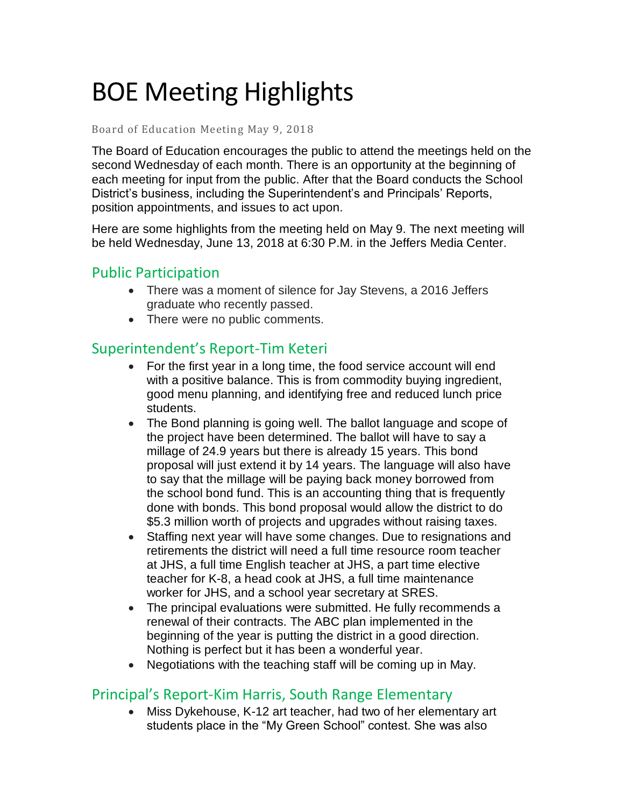# BOE Meeting Highlights

#### Board of Education Meeting May 9, 2018

 The Board of Education encourages the public to attend the meetings held on the second Wednesday of each month. There is an opportunity at the beginning of each meeting for input from the public. After that the Board conducts the School District's business, including the Superintendent's and Principals' Reports, position appointments, and issues to act upon.

 Here are some highlights from the meeting held on May 9. The next meeting will be held Wednesday, June 13, 2018 at 6:30 P.M. in the Jeffers Media Center.

## Public Participation

- • There was a moment of silence for Jay Stevens, a 2016 Jeffers graduate who recently passed.
- There were no public comments.

## Superintendent's Report-Tim Keteri

- For the first year in a long time, the food service account will end with a positive balance. This is from commodity buying ingredient, good menu planning, and identifying free and reduced lunch price students.
- The Bond planning is going well. The ballot language and scope of the project have been determined. The ballot will have to say a millage of 24.9 years but there is already 15 years. This bond proposal will just extend it by 14 years. The language will also have to say that the millage will be paying back money borrowed from the school bond fund. This is an accounting thing that is frequently done with bonds. This bond proposal would allow the district to do \$5.3 million worth of projects and upgrades without raising taxes.
- Staffing next year will have some changes. Due to resignations and retirements the district will need a full time resource room teacher at JHS, a full time English teacher at JHS, a part time elective teacher for K-8, a head cook at JHS, a full time maintenance worker for JHS, and a school year secretary at SRES.
- The principal evaluations were submitted. He fully recommends a renewal of their contracts. The ABC plan implemented in the beginning of the year is putting the district in a good direction. Nothing is perfect but it has been a wonderful year.
- Negotiations with the teaching staff will be coming up in May.

#### Principal's Report-Kim Harris, South Range Elementary

 • Miss Dykehouse, K-12 art teacher, had two of her elementary art students place in the "My Green School" contest. She was also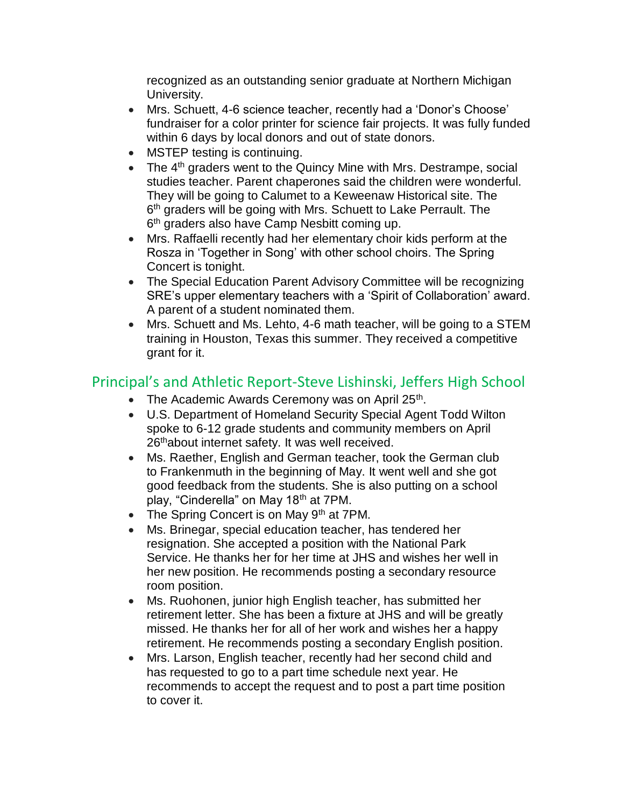recognized as an outstanding senior graduate at Northern Michigan University.

- • Mrs. Schuett, 4-6 science teacher, recently had a 'Donor's Choose' fundraiser for a color printer for science fair projects. It was fully funded within 6 days by local donors and out of state donors.
- MSTEP testing is continuing.
- The  $4<sup>th</sup>$  graders went to the Quincy Mine with Mrs. Destrampe, social studies teacher. Parent chaperones said the children were wonderful. They will be going to Calumet to a Keweenaw Historical site. The 6<sup>th</sup> graders will be going with Mrs. Schuett to Lake Perrault. The 6<sup>th</sup> graders also have Camp Nesbitt coming up.
- • Mrs. Raffaelli recently had her elementary choir kids perform at the Rosza in 'Together in Song' with other school choirs. The Spring Concert is tonight.
- • The Special Education Parent Advisory Committee will be recognizing SRE's upper elementary teachers with a 'Spirit of Collaboration' award. A parent of a student nominated them.
- • Mrs. Schuett and Ms. Lehto, 4-6 math teacher, will be going to a STEM training in Houston, Texas this summer. They received a competitive grant for it.

# Principal's and Athletic Report-Steve Lishinski, Jeffers High School

- The Academic Awards Ceremony was on April 25<sup>th</sup>.
- • U.S. Department of Homeland Security Special Agent Todd Wilton spoke to 6-12 grade students and community members on April 26<sup>th</sup>about internet safety. It was well received.
- • Ms. Raether, English and German teacher, took the German club to Frankenmuth in the beginning of May. It went well and she got good feedback from the students. She is also putting on a school play, "Cinderella" on May 18<sup>th</sup> at 7PM.
- The Spring Concert is on May 9<sup>th</sup> at 7PM.
- • Ms. Brinegar, special education teacher, has tendered her resignation. She accepted a position with the National Park Service. He thanks her for her time at JHS and wishes her well in her new position. He recommends posting a secondary resource room position.
- • Ms. Ruohonen, junior high English teacher, has submitted her retirement letter. She has been a fixture at JHS and will be greatly missed. He thanks her for all of her work and wishes her a happy retirement. He recommends posting a secondary English position.
- • Mrs. Larson, English teacher, recently had her second child and has requested to go to a part time schedule next year. He recommends to accept the request and to post a part time position to cover it.